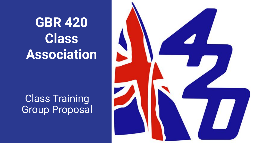**GBR 420 Class Association** 

**Class Training** Group Proposal

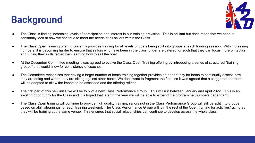# **Background**



- The Class is finding increasing levels of participation and interest in our training provision. This is brilliant but does mean that we need to constantly look at how we continue to meet the needs of all sailors within the Class.
- The Class Open Training offering currently provides training for all levels of boats being split into groups at each training session. With increasing numbers, it is becoming harder to ensure that sailors who have been in the class longer are catered for such that they can focus more on tactics and tuning their skills rather than learning how to sail the boat.
- At the December Committee meeting it was agreed to evolve the Class Open Training offering by introducing a series of structured "training groups" that would allow for consistency of coaches.
- The Committee recognises that having a larger number of boats training together provides an opportunity for boats to continually assess how they are doing and where they are sitting against other boats. We don't want to fragment the fleet, so it was agreed that a staggered approach will be adopted to allow the impact to be assessed and the offering refined.
- The first part of this new initiative will be to pilot a new Class Performance Group. This will run between January and April 2022. This is an exciting opportunity for the Class and it is hoped that later in the year we will be able to expand the programme (numbers dependant).
- The Class Open training will continue to provide high quality training; sailors not in the Class Performance Group will still be split into groups based on ability/learnings for each training weekend. The Class Performance Group will join the rest of the Open training for activities/racing as they will be training at the same venue. This ensures that social relationships can continue to develop across the whole class.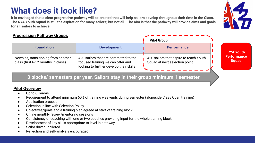## **What does it look like?**

**It is envisaged that a clear progressive pathway will be created that will help sailors develop throughout their time in the Class. The RYA Youth Squad is still the aspiration for many sailors; but not all. The aim is that the pathway will provide aims and goals for all sailors to achieve.**

**Foundation Development Performance**

420 sailors that are committed to the focused training we can offer and looking to further develop their skills

### **Progression Pathway Groups**

Newbies, transitioning from another class (first 6-12 months in class)

### **3 blocks/ semesters per year. Sailors stay in their group minimum 1 semester**

#### **Pilot Overview**

- Up to 6 Teams
- Requirement to attend minimum 60% of training weekends during semester (alongside Class Open training)
- Application process
- Selection in line with Selection Policy
- Objectives/goals and a training plan agreed at start of training block
- Online monthly review/mentoring sessions
- Consistency of coaching with one or two coaches providing input for the whole training block
- Development of key skills appropriate to level in pathway
- Sailor driven tailored
- Reflection and self-analysis encouraged

### 420 sailors that aspire to reach Youth Squad at next selection point

**Pilot Group**

**RYA Youth Performance Squad**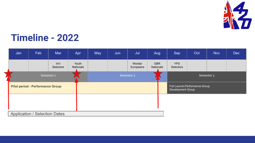

## **Timeline - 2022**

| Jan                                     | Feb                                  | Mar              | Apr                | May                   | Jun | Jul                  | Aug                     | Sep                                                 | Oct | <b>Nov</b> | Dec |
|-----------------------------------------|--------------------------------------|------------------|--------------------|-----------------------|-----|----------------------|-------------------------|-----------------------------------------------------|-----|------------|-----|
|                                         |                                      | Int<br>Selectors | Youth<br>Nationals |                       |     | Worlds/<br>Europeans | <b>GBR</b><br>Nationals | <b>YPS</b><br>Selectors                             |     |            |     |
|                                         | Semester 1                           |                  |                    | Semester <sub>2</sub> |     |                      |                         | Semester 3                                          |     |            |     |
| <b>Pilot period - Performance Group</b> |                                      |                  |                    |                       |     |                      |                         | Full Launch: Performance Group<br>Development Group |     |            |     |
|                                         |                                      |                  |                    |                       |     |                      |                         |                                                     |     |            |     |
|                                         | <b>Application / Selection Dates</b> |                  |                    |                       |     |                      |                         |                                                     |     |            |     |